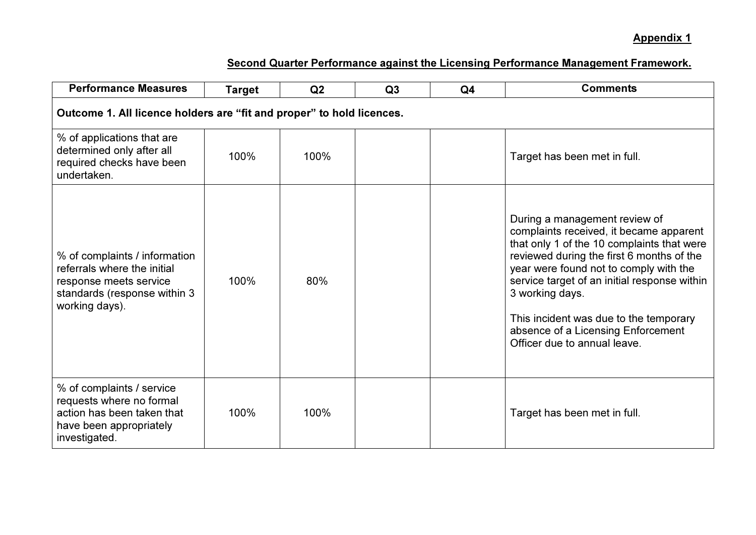| <b>Performance Measures</b>                                                                                                              | <b>Target</b> | Q2   | Q3 | Q <sub>4</sub> | <b>Comments</b>                                                                                                                                                                                                                                                                                                                                                                                  |  |  |  |
|------------------------------------------------------------------------------------------------------------------------------------------|---------------|------|----|----------------|--------------------------------------------------------------------------------------------------------------------------------------------------------------------------------------------------------------------------------------------------------------------------------------------------------------------------------------------------------------------------------------------------|--|--|--|
| Outcome 1. All licence holders are "fit and proper" to hold licences.                                                                    |               |      |    |                |                                                                                                                                                                                                                                                                                                                                                                                                  |  |  |  |
| % of applications that are<br>determined only after all<br>required checks have been<br>undertaken.                                      | 100%          | 100% |    |                | Target has been met in full.                                                                                                                                                                                                                                                                                                                                                                     |  |  |  |
| % of complaints / information<br>referrals where the initial<br>response meets service<br>standards (response within 3<br>working days). | 100%          | 80%  |    |                | During a management review of<br>complaints received, it became apparent<br>that only 1 of the 10 complaints that were<br>reviewed during the first 6 months of the<br>year were found not to comply with the<br>service target of an initial response within<br>3 working days.<br>This incident was due to the temporary<br>absence of a Licensing Enforcement<br>Officer due to annual leave. |  |  |  |
| % of complaints / service<br>requests where no formal<br>action has been taken that<br>have been appropriately<br>investigated.          | 100%          | 100% |    |                | Target has been met in full.                                                                                                                                                                                                                                                                                                                                                                     |  |  |  |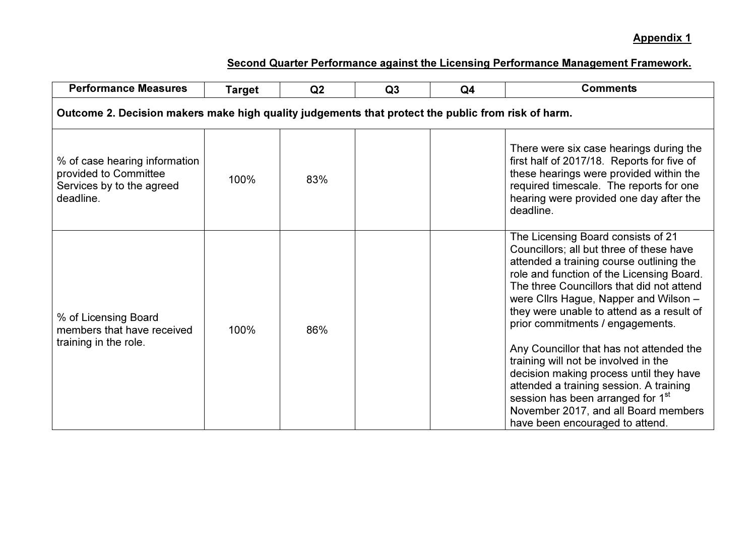| <b>Performance Measures</b>                                                                        | <b>Target</b> | Q2  | Q3 | Q <sub>4</sub> | <b>Comments</b>                                                                                                                                                                                                                                                                                                                                |  |  |  |
|----------------------------------------------------------------------------------------------------|---------------|-----|----|----------------|------------------------------------------------------------------------------------------------------------------------------------------------------------------------------------------------------------------------------------------------------------------------------------------------------------------------------------------------|--|--|--|
| Outcome 2. Decision makers make high quality judgements that protect the public from risk of harm. |               |     |    |                |                                                                                                                                                                                                                                                                                                                                                |  |  |  |
| % of case hearing information<br>provided to Committee<br>Services by to the agreed<br>deadline.   | 100%          | 83% |    |                | There were six case hearings during the<br>first half of 2017/18. Reports for five of<br>these hearings were provided within the<br>required timescale. The reports for one<br>hearing were provided one day after the<br>deadline.                                                                                                            |  |  |  |
| % of Licensing Board<br>members that have received<br>training in the role.                        | 100%          | 86% |    |                | The Licensing Board consists of 21<br>Councillors; all but three of these have<br>attended a training course outlining the<br>role and function of the Licensing Board.<br>The three Councillors that did not attend<br>were Cllrs Hague, Napper and Wilson -<br>they were unable to attend as a result of<br>prior commitments / engagements. |  |  |  |
|                                                                                                    |               |     |    |                | Any Councillor that has not attended the<br>training will not be involved in the<br>decision making process until they have<br>attended a training session. A training<br>session has been arranged for 1 <sup>st</sup><br>November 2017, and all Board members<br>have been encouraged to attend.                                             |  |  |  |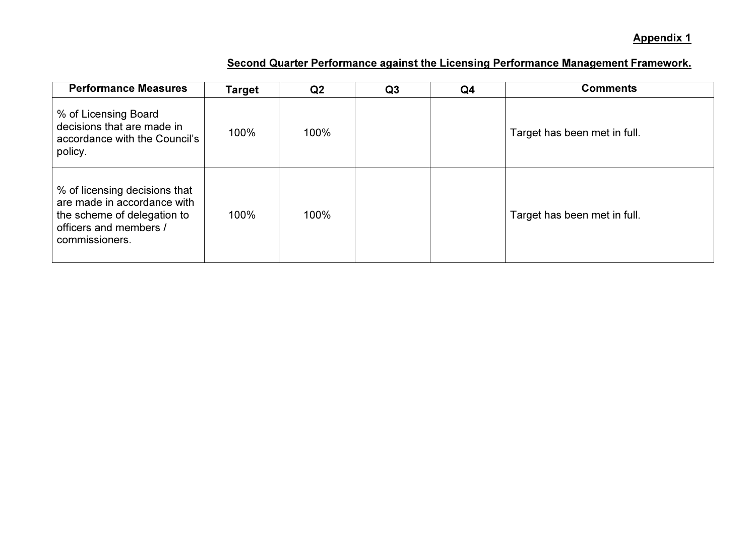| <b>Performance Measures</b>                                                                                                             | Target | Q <sub>2</sub> | Q <sub>3</sub> | Q4 | <b>Comments</b>              |
|-----------------------------------------------------------------------------------------------------------------------------------------|--------|----------------|----------------|----|------------------------------|
| % of Licensing Board<br>decisions that are made in<br>accordance with the Council's<br>policy.                                          | 100%   | 100%           |                |    | Target has been met in full. |
| % of licensing decisions that<br>are made in accordance with<br>the scheme of delegation to<br>officers and members /<br>commissioners. | 100%   | 100%           |                |    | Target has been met in full. |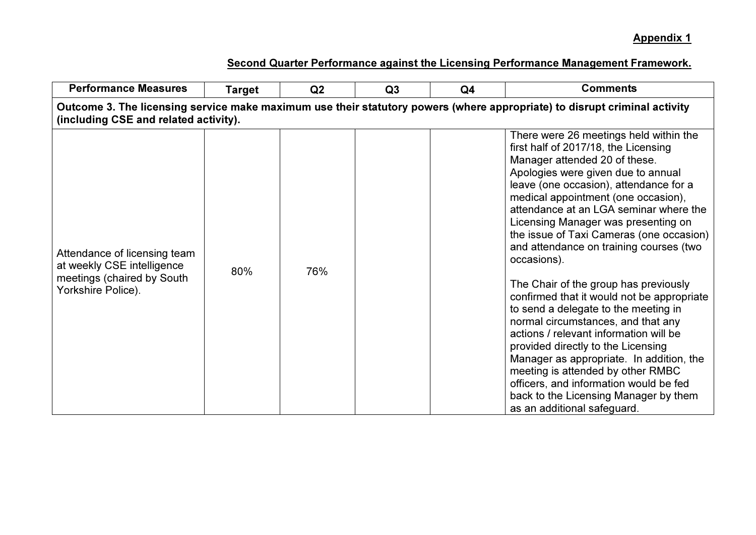| <b>Performance Measures</b>                                                                                                                                        | <b>Target</b> | Q <sub>2</sub> | Q <sub>3</sub> | Q <sub>4</sub> | <b>Comments</b>                                                                                                                                                                                                                                                                                                                                                                                                                                                                                                                                                                                                                                                                                                                                                                                                                                                                       |  |  |  |  |
|--------------------------------------------------------------------------------------------------------------------------------------------------------------------|---------------|----------------|----------------|----------------|---------------------------------------------------------------------------------------------------------------------------------------------------------------------------------------------------------------------------------------------------------------------------------------------------------------------------------------------------------------------------------------------------------------------------------------------------------------------------------------------------------------------------------------------------------------------------------------------------------------------------------------------------------------------------------------------------------------------------------------------------------------------------------------------------------------------------------------------------------------------------------------|--|--|--|--|
| Outcome 3. The licensing service make maximum use their statutory powers (where appropriate) to disrupt criminal activity<br>(including CSE and related activity). |               |                |                |                |                                                                                                                                                                                                                                                                                                                                                                                                                                                                                                                                                                                                                                                                                                                                                                                                                                                                                       |  |  |  |  |
| Attendance of licensing team<br>at weekly CSE intelligence<br>meetings (chaired by South<br>Yorkshire Police).                                                     | 80%           | 76%            |                |                | There were 26 meetings held within the<br>first half of 2017/18, the Licensing<br>Manager attended 20 of these.<br>Apologies were given due to annual<br>leave (one occasion), attendance for a<br>medical appointment (one occasion),<br>attendance at an LGA seminar where the<br>Licensing Manager was presenting on<br>the issue of Taxi Cameras (one occasion)<br>and attendance on training courses (two<br>occasions).<br>The Chair of the group has previously<br>confirmed that it would not be appropriate<br>to send a delegate to the meeting in<br>normal circumstances, and that any<br>actions / relevant information will be<br>provided directly to the Licensing<br>Manager as appropriate. In addition, the<br>meeting is attended by other RMBC<br>officers, and information would be fed<br>back to the Licensing Manager by them<br>as an additional safeguard. |  |  |  |  |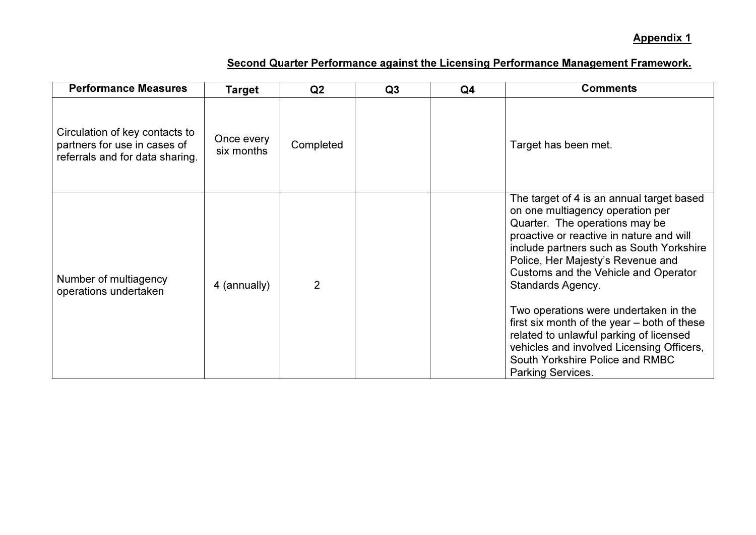| <b>Performance Measures</b>                                                                       | Target                   | Q <sub>2</sub> | Q3 | Q <sub>4</sub> | <b>Comments</b>                                                                                                                                                                                                                                                                                                                                                                                                                                                                                                                                          |
|---------------------------------------------------------------------------------------------------|--------------------------|----------------|----|----------------|----------------------------------------------------------------------------------------------------------------------------------------------------------------------------------------------------------------------------------------------------------------------------------------------------------------------------------------------------------------------------------------------------------------------------------------------------------------------------------------------------------------------------------------------------------|
| Circulation of key contacts to<br>partners for use in cases of<br>referrals and for data sharing. | Once every<br>six months | Completed      |    |                | Target has been met.                                                                                                                                                                                                                                                                                                                                                                                                                                                                                                                                     |
| Number of multiagency<br>operations undertaken                                                    | 4 (annually)             | 2              |    |                | The target of 4 is an annual target based<br>on one multiagency operation per<br>Quarter. The operations may be<br>proactive or reactive in nature and will<br>include partners such as South Yorkshire<br>Police, Her Majesty's Revenue and<br>Customs and the Vehicle and Operator<br><b>Standards Agency.</b><br>Two operations were undertaken in the<br>first six month of the year – both of these<br>related to unlawful parking of licensed<br>vehicles and involved Licensing Officers,<br>South Yorkshire Police and RMBC<br>Parking Services. |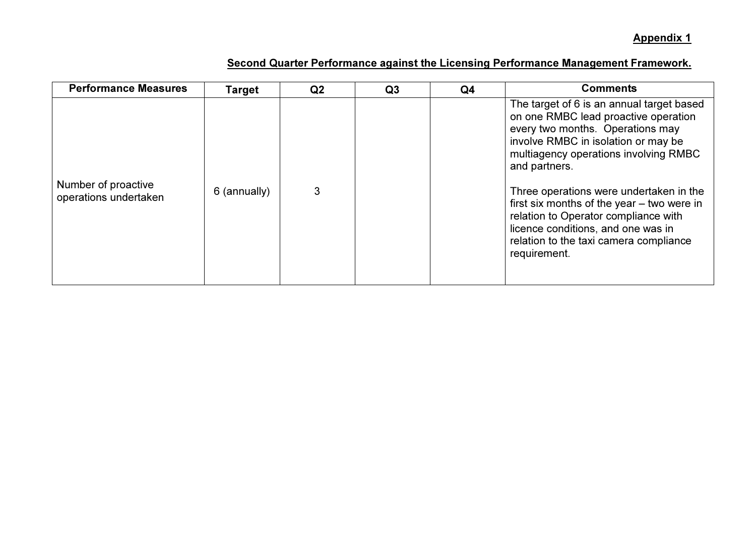| <b>Performance Measures</b>                  | Target       | Q <sub>2</sub> | Q <sub>3</sub> | Q4 | <b>Comments</b>                                                                                                                                                                                                                                                                                                                                                                                                                                         |
|----------------------------------------------|--------------|----------------|----------------|----|---------------------------------------------------------------------------------------------------------------------------------------------------------------------------------------------------------------------------------------------------------------------------------------------------------------------------------------------------------------------------------------------------------------------------------------------------------|
| Number of proactive<br>operations undertaken | 6 (annually) | 3              |                |    | The target of 6 is an annual target based<br>on one RMBC lead proactive operation<br>every two months. Operations may<br>involve RMBC in isolation or may be<br>multiagency operations involving RMBC<br>and partners.<br>Three operations were undertaken in the<br>first six months of the year – two were in<br>relation to Operator compliance with<br>licence conditions, and one was in<br>relation to the taxi camera compliance<br>requirement. |
|                                              |              |                |                |    |                                                                                                                                                                                                                                                                                                                                                                                                                                                         |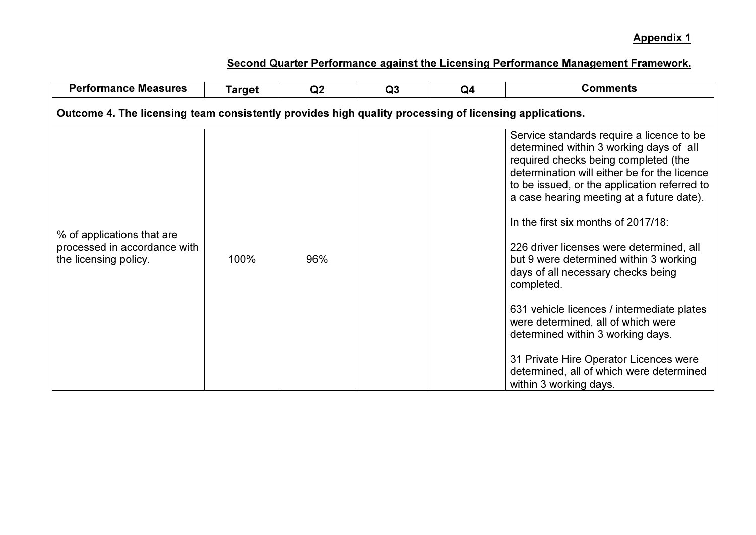| <b>Performance Measures</b>                                                                            | <b>Target</b> | Q2  | Q3 | Q <sub>4</sub> | <b>Comments</b>                                                                                                                                                                                                                                                                                                                                                                                                                                                                                                                                                                                                                                                                                     |  |  |  |  |
|--------------------------------------------------------------------------------------------------------|---------------|-----|----|----------------|-----------------------------------------------------------------------------------------------------------------------------------------------------------------------------------------------------------------------------------------------------------------------------------------------------------------------------------------------------------------------------------------------------------------------------------------------------------------------------------------------------------------------------------------------------------------------------------------------------------------------------------------------------------------------------------------------------|--|--|--|--|
| Outcome 4. The licensing team consistently provides high quality processing of licensing applications. |               |     |    |                |                                                                                                                                                                                                                                                                                                                                                                                                                                                                                                                                                                                                                                                                                                     |  |  |  |  |
| % of applications that are<br>processed in accordance with<br>the licensing policy.                    | 100%          | 96% |    |                | Service standards require a licence to be<br>determined within 3 working days of all<br>required checks being completed (the<br>determination will either be for the licence<br>to be issued, or the application referred to<br>a case hearing meeting at a future date).<br>In the first six months of 2017/18:<br>226 driver licenses were determined, all<br>but 9 were determined within 3 working<br>days of all necessary checks being<br>completed.<br>631 vehicle licences / intermediate plates<br>were determined, all of which were<br>determined within 3 working days.<br>31 Private Hire Operator Licences were<br>determined, all of which were determined<br>within 3 working days. |  |  |  |  |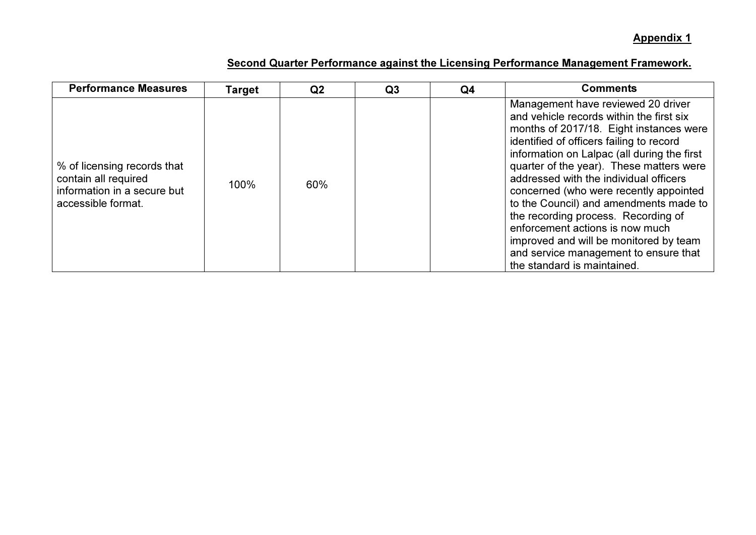| <b>Performance Measures</b>                                                                              | Target | Q <sub>2</sub> | Q3 | Q4 | <b>Comments</b>                                                                                                                                                                                                                                                                                                                                                                                                                                                                                                                                                                            |
|----------------------------------------------------------------------------------------------------------|--------|----------------|----|----|--------------------------------------------------------------------------------------------------------------------------------------------------------------------------------------------------------------------------------------------------------------------------------------------------------------------------------------------------------------------------------------------------------------------------------------------------------------------------------------------------------------------------------------------------------------------------------------------|
| % of licensing records that<br>contain all required<br>information in a secure but<br>accessible format. | 100%   | 60%            |    |    | Management have reviewed 20 driver<br>and vehicle records within the first six<br>months of 2017/18. Eight instances were<br>identified of officers failing to record<br>information on Lalpac (all during the first<br>quarter of the year). These matters were<br>addressed with the individual officers<br>concerned (who were recently appointed<br>to the Council) and amendments made to<br>the recording process. Recording of<br>enforcement actions is now much<br>improved and will be monitored by team<br>and service management to ensure that<br>the standard is maintained. |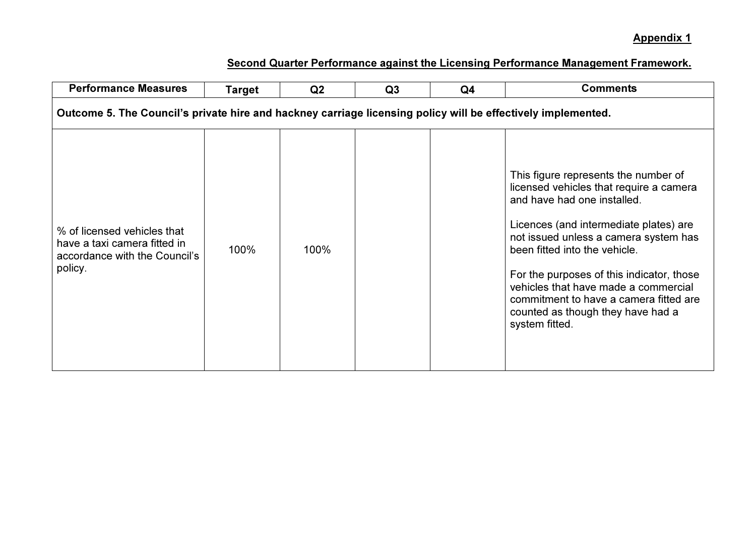| <b>Performance Measures</b>                                                                                  | Target | Q <sub>2</sub> | Q3 | Q <sub>4</sub> | <b>Comments</b>                                                                                                                                                                                                                                                                                                                                                                                                          |  |  |  |
|--------------------------------------------------------------------------------------------------------------|--------|----------------|----|----------------|--------------------------------------------------------------------------------------------------------------------------------------------------------------------------------------------------------------------------------------------------------------------------------------------------------------------------------------------------------------------------------------------------------------------------|--|--|--|
| Outcome 5. The Council's private hire and hackney carriage licensing policy will be effectively implemented. |        |                |    |                |                                                                                                                                                                                                                                                                                                                                                                                                                          |  |  |  |
| % of licensed vehicles that<br>have a taxi camera fitted in<br>accordance with the Council's<br>policy.      | 100%   | 100%           |    |                | This figure represents the number of<br>licensed vehicles that require a camera<br>and have had one installed.<br>Licences (and intermediate plates) are<br>not issued unless a camera system has<br>been fitted into the vehicle.<br>For the purposes of this indicator, those<br>vehicles that have made a commercial<br>commitment to have a camera fitted are<br>counted as though they have had a<br>system fitted. |  |  |  |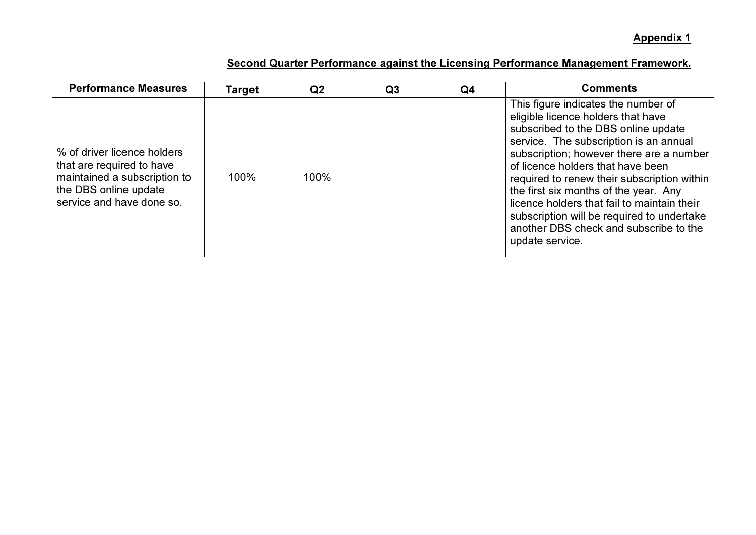| <b>Performance Measures</b>                                                                                                                    | Target | Q <sub>2</sub> | Q <sub>3</sub> | Q <sub>4</sub> | <b>Comments</b>                                                                                                                                                                                                                                                                                                                                                                                                                                                                               |
|------------------------------------------------------------------------------------------------------------------------------------------------|--------|----------------|----------------|----------------|-----------------------------------------------------------------------------------------------------------------------------------------------------------------------------------------------------------------------------------------------------------------------------------------------------------------------------------------------------------------------------------------------------------------------------------------------------------------------------------------------|
| % of driver licence holders<br>that are required to have<br>maintained a subscription to<br>the DBS online update<br>service and have done so. | 100%   | 100%           |                |                | This figure indicates the number of<br>eligible licence holders that have<br>subscribed to the DBS online update<br>service. The subscription is an annual<br>subscription; however there are a number<br>of licence holders that have been<br>required to renew their subscription within<br>the first six months of the year. Any<br>licence holders that fail to maintain their<br>subscription will be required to undertake<br>another DBS check and subscribe to the<br>update service. |